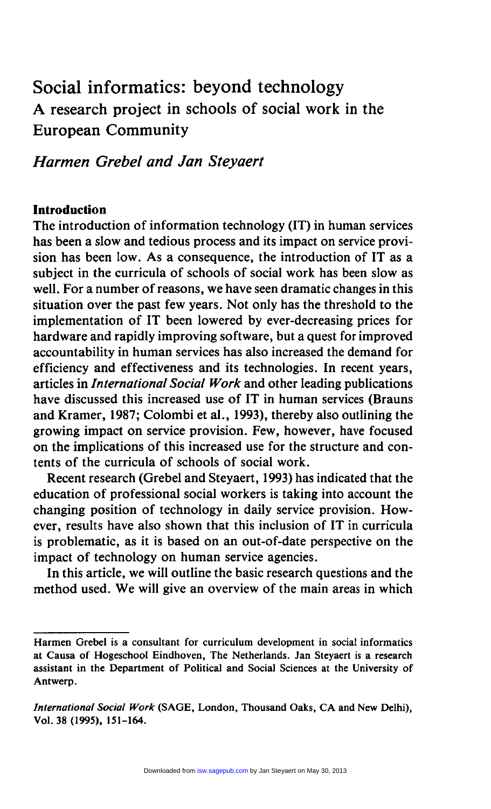# Social informatics: beyond technology A research project in schools of social work in the European Community

Harmen Grebel and Jan Steyaert

#### Introduction

The introduction of information technology (IT) in human services has been a slow and tedious process and its impact on service provision has been low. As a consequence, the introduction of IT as a subject in the curricula of schools of social work has been slow as well. For a number of reasons, we have seen dramatic changes in this situation over the past few years. Not only has the threshold to the implementation of IT been lowered by ever-decreasing prices for hardware and rapidly improving software, but a quest for improved accountability in human services has also increased the demand for efficiency and effectiveness and its technologies. In recent years, articles in International Social Work and other leading publications have discussed this increased use of IT in human services (Brauns and Kramer, 1987; Colombi et al., 1993), thereby also outlining the growing impact on service provision. Few, however, have focused on the implications of this increased use for the structure and contents of the curricula of schools of social work.

Recent research (Grebel and Steyaert, 1993) has indicated that the education of professional social workers is taking into account the changing position of technology in daily service provision. However, results have also shown that this inclusion of IT in curricula is problematic, as it is based on an out-of-date perspective on the impact of technology on human service agencies.

In this article, we will outline the basic research questions and the method used. We will give an overview of the main areas in which

Harmen Grebel is a consultant for curriculum development in social informatics at Causa of Hogeschool Eindhoven, The Netherlands. Jan Steyaert is a research assistant in the Department of Political and Social Sciences at the University of Antwerp.

<sup>151</sup> Vol. 38 (1995), 151-164. International Social Work (SAGE, London, Thousand Oaks, CA and New Delhi),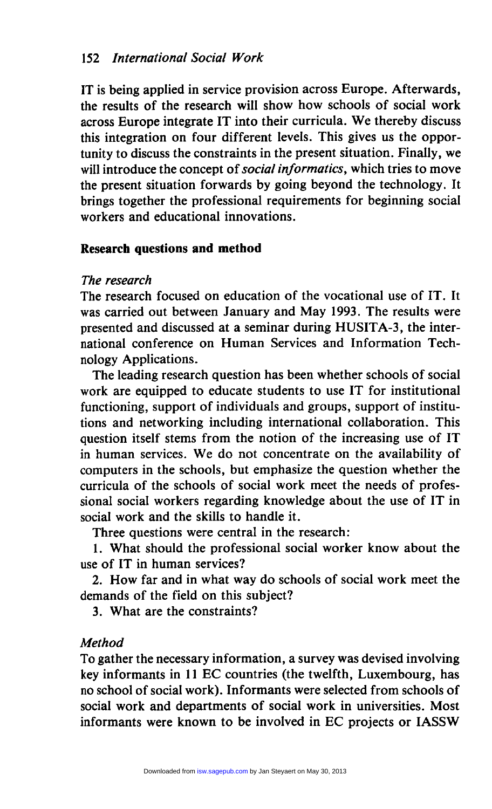## 152 International Social Work

IT is being applied in service provision across Europe. Afterwards, the results of the research will show how schools of social work across Europe integrate IT into their curricula. We thereby discuss this integration on four different levels. This gives us the opportunity to discuss the constraints in the present situation. Finally, we will introduce the concept of social informatics, which tries to move the present situation forwards by going beyond the technology. It brings together the professional requirements for beginning social workers and educational innovations.

## Research questions and method

#### The research

The research focused on education of the vocational use of IT. It was carried out between January and May 1993. The results were presented and discussed at a seminar during HUSITA-3, the international conference on Human Services and Information Technology Applications.

The leading research question has been whether schools of social work are equipped to educate students to use IT for institutional functioning, support of individuals and groups, support of institutions and networking including international collaboration. This question itself stems from the notion of the increasing use of IT in human services. We do not concentrate on the availability of computers in the schools, but emphasize the question whether the curricula of the schools of social work meet the needs of professional social workers regarding knowledge about the use of IT in social work and the skills to handle it.

Three questions were central in the research:

1. What should the professional social worker know about the use of IT in human services?

2. How far and in what way do schools of social work meet the demands of the field on this subject?

3. What are the constraints?

## Method

To gather the necessary information, a survey was devised involving key informants in 11 EC countries (the twelfth, Luxembourg, has no school of social work). Informants were selected from schools of social work and departments of social work in universities. Most informants were known to be involved in EC projects or IASSW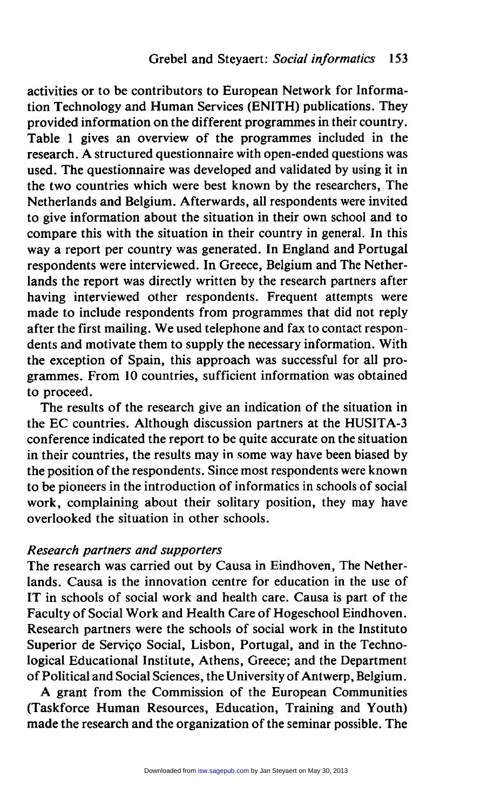activities or to be contributors to European Network for Information Technology and Human Services (ENITH) publications. They provided information on the different programmes in their country. Table 1 gives an overview of the programmes included in the research. A structured questionnaire with open-ended questions was used. The questionnaire was developed and validated by using it in the two countries which were best known by the researchers, The Netherlands and Belgium. Afterwards, all respondents were invited to give information about the situation in their own school and to compare this with the situation in their country in general. In this way a report per country was generated. In England and Portugal respondents were interviewed. In Greece, Belgium and The Netherlands the report was directly written by the research partners after having interviewed other respondents. Frequent attempts were made to include respondents from programmes that did not reply after the first mailing. We used telephone and fax to contact respondents and motivate them to supply the necessary information. With the exception of Spain, this approach was successful for all programmes. From 10 countries, sufficient information was obtained to proceed.

The results of the research give an indication of the situation in the EC countries. Although discussion partners at the HUSITA-3 conference indicated the report to be quite accurate on the situation in their countries, the results may in some way have been biased by the position of the respondents. Since most respondents were known to be pioneers in the introduction of informatics in schools of social work, complaining about their solitary position, they may have overlooked the situation in other schools.

#### Research partners and supporters

The research was carried out by Causa in Eindhoven, The Netherlands. Causa is the innovation centre for education in the use of IT in schools of social work and health care. Causa is part of the Faculty of Social Work and Health Care of Hogeschool Eindhoven. Research partners were the schools of social work in the Instituto Superior de Service Social, Lisbon, Portugal, and in the Technological Educational Institute, Athens, Greece; and the Department of Political and Social Sciences, the University of Antwerp, Belgium.

A grant from the Commission of the European Communities (Taskforce Human Resources, Education, Training and Youth) made the research and the organization of the seminar possible. The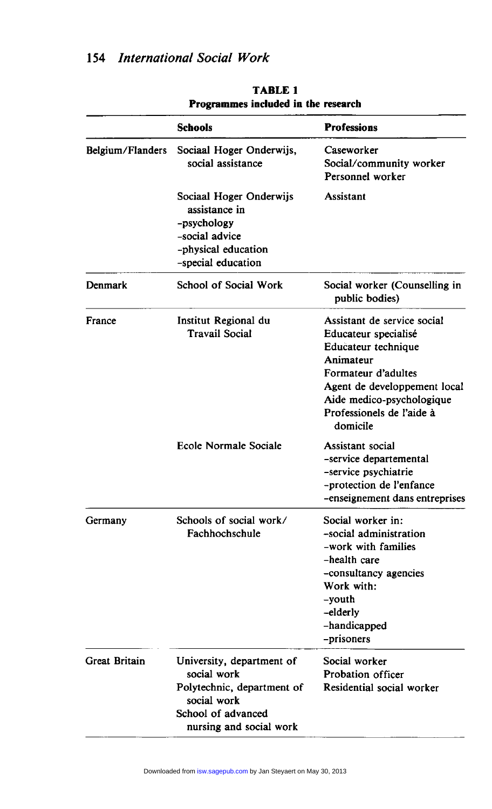|                  | <b>Schools</b>                                                                                                                         | <b>Professions</b>                                                                                                                                                                                                   |
|------------------|----------------------------------------------------------------------------------------------------------------------------------------|----------------------------------------------------------------------------------------------------------------------------------------------------------------------------------------------------------------------|
| Belgium/Flanders | Sociaal Hoger Onderwijs,<br>social assistance                                                                                          | Caseworker<br>Social/community worker<br>Personnel worker                                                                                                                                                            |
|                  | Sociaal Hoger Onderwijs<br>assistance in<br>-psychology<br>-social advice<br>-physical education<br>-special education                 | <b>Assistant</b>                                                                                                                                                                                                     |
| Denmark          | School of Social Work                                                                                                                  | Social worker (Counselling in<br>public bodies)                                                                                                                                                                      |
| France           | Institut Regional du<br><b>Travail Social</b>                                                                                          | Assistant de service social<br>Educateur specialisé<br>Educateur technique<br>Animateur<br>Formateur d'adultes<br>Agent de developpement local<br>Aide medico-psychologique<br>Professionels de l'aide à<br>domicile |
|                  | Ecole Normale Sociale                                                                                                                  | Assistant social<br>-service departemental<br>-service psychiatrie<br>-protection de l'enfance<br>-enseignement dans entreprises                                                                                     |
| Germany          | Schools of social work/<br>Fachhochschule                                                                                              | Social worker in:<br>-social administration<br>-work with families<br>-health care<br>-consultancy agencies<br>Work with:<br>-vouth<br>-elderly<br>-handicapped<br>-prisoners                                        |
| Great Britain    | University, department of<br>social work<br>Polytechnic, department of<br>social work<br>School of advanced<br>nursing and social work | Social worker<br>Probation officer<br>Residential social worker                                                                                                                                                      |

TABLE 1 Programmes included in the research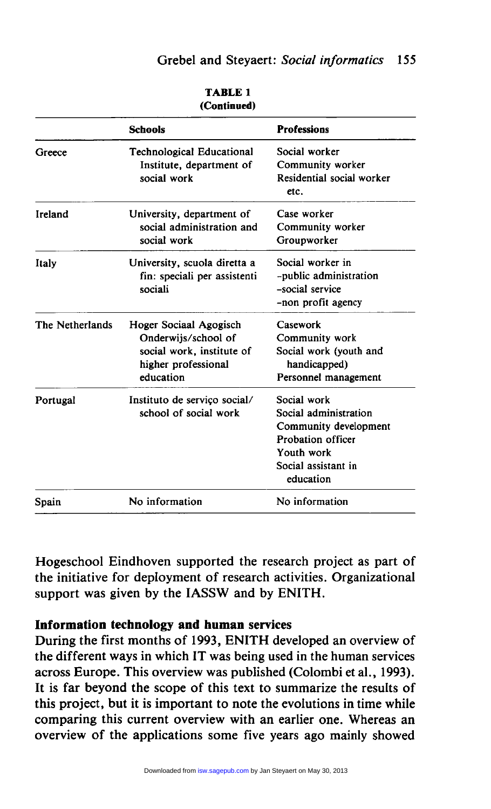|                 | (Conunucu)                                                                                                     |                                                                                                                                      |
|-----------------|----------------------------------------------------------------------------------------------------------------|--------------------------------------------------------------------------------------------------------------------------------------|
|                 | <b>Schools</b>                                                                                                 | <b>Professions</b>                                                                                                                   |
| Greece          | <b>Technological Educational</b><br>Institute, department of<br>social work                                    | Social worker<br>Community worker<br>Residential social worker<br>etc.                                                               |
| Ireland         | University, department of<br>social administration and<br>social work                                          | Case worker<br>Community worker<br>Groupworker                                                                                       |
| Italy           | University, scuola diretta a<br>fin: speciali per assistenti<br>sociali                                        | Social worker in<br>-public administration<br>-social service<br>-non profit agency                                                  |
| The Netherlands | Hoger Sociaal Agogisch<br>Onderwijs/school of<br>social work, institute of<br>higher professional<br>education | Casework<br>Community work<br>Social work (youth and<br>handicapped)<br>Personnel management                                         |
| Portugal        | Instituto de servico social/<br>school of social work                                                          | Social work<br>Social administration<br>Community development<br>Probation officer<br>Youth work<br>Social assistant in<br>education |
| Spain           | No information                                                                                                 | No information                                                                                                                       |

TABLE 1 (Continued)

Hogeschool Eindhoven supported the research project as part of the initiative for deployment of research activities. Organizational support was given by the IASSW and by ENITH.

#### Information technology and human services

During the first months of 1993, ENITH developed an overview of the different ways in which IT was being used in the human services across Europe. This overview was published (Colombi et al., 1993). It is far beyond the scope of this text to summarize the results of this project, but it is important to note the evolutions in time while comparing this current overview with an earlier one. Whereas an overview of the applications some five years ago mainly showed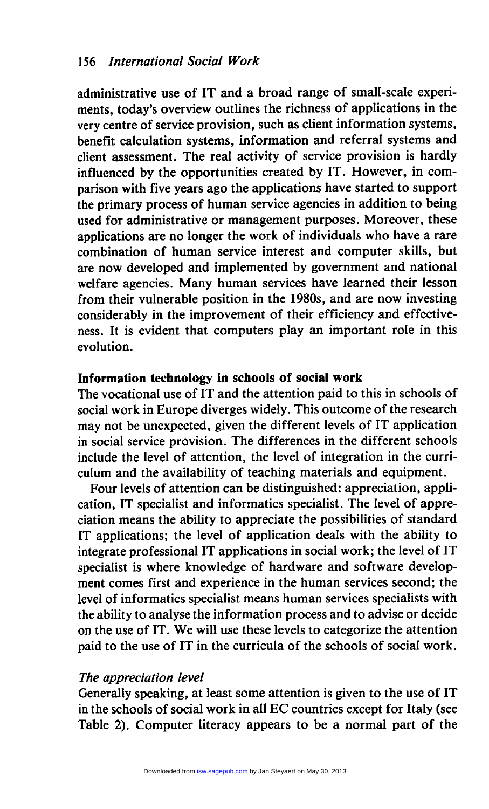administrative use of IT and a broad range of small-scale experiments, today's overview outlines the richness of applications in the very centre of service provision, such as client information systems, benefit calculation systems, information and referral systems and client assessment. The real activity of service provision is hardly influenced by the opportunities created by IT. However, in comparison with five years ago the applications have started to support the primary process of human service agencies in addition to being used for administrative or management purposes. Moreover, these applications are no longer the work of individuals who have a rare combination of human service interest and computer skills, but are now developed and implemented by government and national welfare agencies. Many human services have learned their lesson from their vulnerable position in the 1980s, and are now investing considerably in the improvement of their efficiency and effectiveness. It is evident that computers play an important role in this evolution.

### Information technology in schools of social work

The vocational use of IT and the attention paid to this in schools of social work in Europe diverges widely. This outcome of the research may not be unexpected, given the different levels of IT application in social service provision. The differences in the different schools include the level of attention, the level of integration in the curriculum and the availability of teaching materials and equipment.

Four levels of attention can be distinguished: appreciation, application, IT specialist and informatics specialist. The level of appreciation means the ability to appreciate the possibilities of standard IT applications; the level of application deals with the ability to integrate professional IT applications in social work; the level of IT specialist is where knowledge of hardware and software development comes first and experience in the human services second; the level of informatics specialist means human services specialists with the ability to analyse the information process and to advise or decide on the use of IT. We will use these levels to categorize the attention paid to the use of IT in the curricula of the schools of social work.

## The appreciation level

Generally speaking, at least some attention is given to the use of IT in the schools of social work in all EC countries except for Italy (see Table 2). Computer literacy appears to be a normal part of the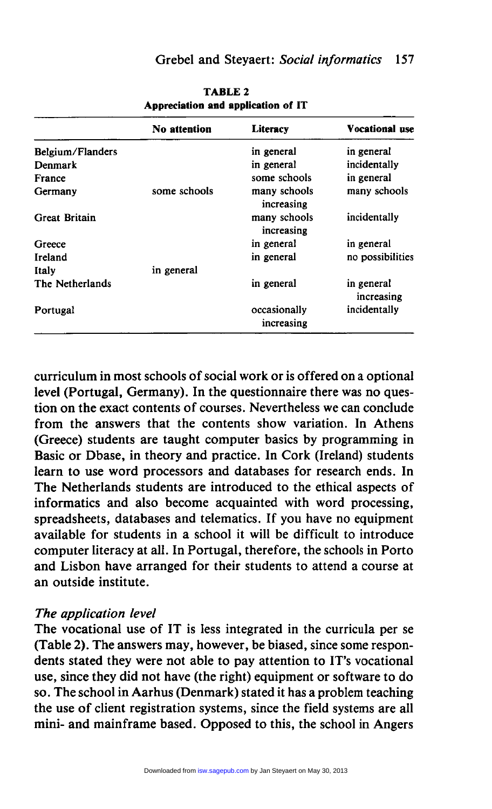|                      | No attention | Literacy                   | <b>Vocational use</b>    |
|----------------------|--------------|----------------------------|--------------------------|
| Belgium/Flanders     |              | in general                 | in general               |
| Denmark              |              | in general                 | incidentally             |
| France               |              | some schools               | in general               |
| Germany              | some schools | many schools<br>increasing | many schools             |
| <b>Great Britain</b> |              | many schools<br>increasing | incidentally             |
| Greece               |              | in general                 | in general               |
| Ireland              |              | in general                 | no possibilities         |
| Italy                | in general   |                            |                          |
| The Netherlands      |              | in general                 | in general<br>increasing |
| Portugal             |              | occasionally<br>increasing | incidentally             |

TABLE 2 Appreciation and application of IT

curriculum in most schools of social work or is offered on a optional level (Portugal, Germany). In the questionnaire there was no question on the exact contents of courses. Nevertheless we can conclude from the answers that the contents show variation. In Athens (Greece) students are taught computer basics by programming in Basic or Dbase, in theory and practice. In Cork (Ireland) students learn to use word processors and databases for research ends. In The Netherlands students are introduced to the ethical aspects of informatics and also become acquainted with word processing, spreadsheets, databases and telematics. If you have no equipment available for students in a school it will be difficult to introduce computer literacy at all. In Portugal, therefore, the schools in Porto and Lisbon have arranged for their students to attend a course at an outside institute.

#### The application level

The vocational use of IT is less integrated in the curricula per se (Table 2). The answers may, however, be biased, since some respondents stated they were not able to pay attention to IT's vocational use, since they did not have (the right) equipment or software to do so. The school in Aarhus (Denmark) stated it has a problem teaching the use of client registration systems, since the field systems are all mini- and mainframe based. Opposed to this, the school in Angers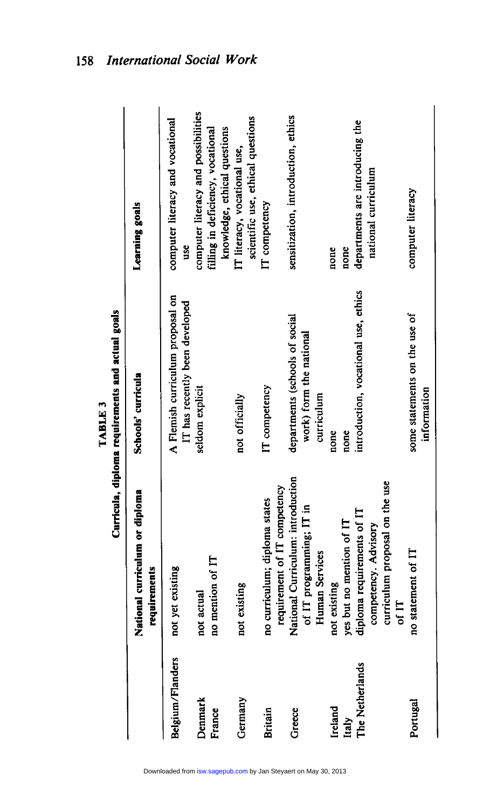|                          |                                                                                               | Curricula, diploma requirements and actual goals                        |                                                                                                          |
|--------------------------|-----------------------------------------------------------------------------------------------|-------------------------------------------------------------------------|----------------------------------------------------------------------------------------------------------|
|                          | National curriculum or diploma<br>requirements                                                | Schools' curricula                                                      | Learning goals                                                                                           |
| 3elgium/Flanders         | not yet existing                                                                              | A Flemish curriculum proposal on<br>IT has recently been developed      | computer literacy and vocational<br>use                                                                  |
| <b>Denmark</b><br>France | no mention of IT<br>not actual                                                                | seldom explicit                                                         | computer literacy and possibilities<br>filling in deficiency, vocational<br>knowledge, ethical questions |
| Germany                  | not existing                                                                                  | not officially                                                          | scientific use, ethical questions<br>IT literacy, vocational use,                                        |
| <b>Britain</b>           | requirement of IT competency<br>no curriculum; diploma states                                 | IT competency                                                           | IT competency                                                                                            |
| Greece                   | National Curriculum: introduction<br>of IT programming; IT in<br>Human Services               | departments (schools of social<br>work) form the national<br>curriculum | sensitization, introduction, ethics                                                                      |
| reland<br>ltaly          | yes but no mention of IT<br>not existing                                                      | none<br>none                                                            | none<br>none                                                                                             |
| The Netherlands          | curriculum proposal on the use<br>diploma requirements of IT<br>competency. Advisory<br>of IT | introduction, vocational use, ethics                                    | departments are introducing the<br>national curriculum                                                   |
| Portugal                 | no statement of IT                                                                            | some statements on the use of<br>information                            | computer literacy                                                                                        |

بر<br>a ABLE<br>Iuirem -< 50 1-4t10

158 International Social Work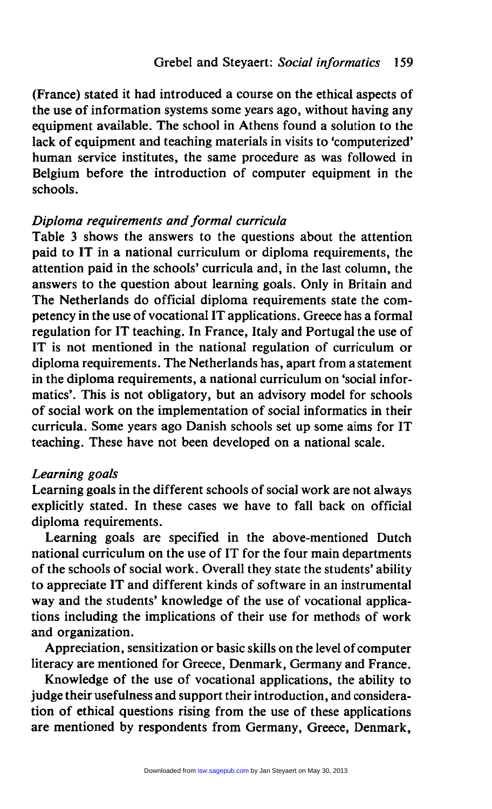(France) stated it had introduced a course on the ethical aspects of the use of information systems some years ago, without having any equipment available. The school in Athens found a solution to the lack of equipment and teaching materials in visits to 'computerized' human service institutes, the same procedure as was followed in Belgium before the introduction of computer equipment in the schools.

### Diploma requirements and formal curricula

Table 3 shows the answers to the questions about the attention paid to IT in a national curriculum or diploma requirements, the attention paid in the schools' curricula and, in the last column, the answers to the question about learning goals. Only in Britain and The Netherlands do official diploma requirements state the competency in the use of vocational IT applications. Greece has a formal regulation for IT teaching. In France, Italy and Portugal the use of IT is not mentioned in the national regulation of curriculum or diploma requirements. The Netherlands has, apart from a statement in the diploma requirements, a national curriculum on 'social informatics'. This is not obligatory, but an advisory model for schools of social work on the implementation of social informatics in their curricula. Some years ago Danish schools set up some aims for IT teaching. These have not been developed on a national scale.

## Learning goals

Learning goals in the different schools of social work are not always explicitly stated. In these cases we have to fall back on official diploma requirements.

Learning goals are specified in the above-mentioned Dutch national curriculum on the use of IT for the four main departments of the schools of social work. Overall they state the students' ability to appreciate IT and different kinds of software in an instrumental way and the students' knowledge of the use of vocational applications including the implications of their use for methods of work and organization.

Appreciation, sensitization or basic skills on the level of computer literacy are mentioned for Greece, Denmark, Germany and France.

Knowledge of the use of vocational applications, the ability to judge their usefulness and support their introduction, and consideration of ethical questions rising from the use of these applications are mentioned by respondents from Germany, Greece, Denmark,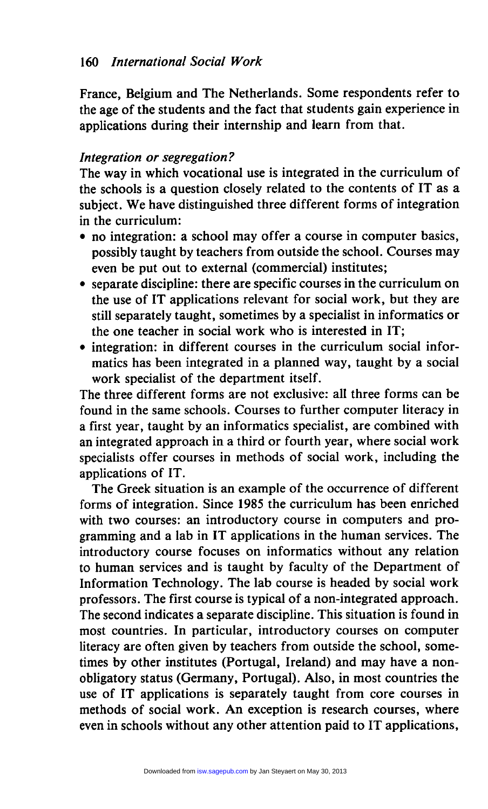France, Belgium and The Netherlands. Some respondents refer to the age of the students and the fact that students gain experience in applications during their internship and learn from that.

## Integration or segregation?

The way in which vocational use is integrated in the curriculum of the schools is a question closely related to the contents of IT as a subject. We have distinguished three different forms of integration in the curriculum:

- ~ no integration: a school may offer a course in computer basics, possibly taught by teachers from outside the school. Courses may even be put out to external (commercial) institutes;
- ~ separate discipline: there are specific courses in the curriculum on the use of IT applications relevant for social work, but they are still separately taught, sometimes by a specialist in informatics or the one teacher in social work who is interested in IT;
- ~ integration: in different courses in the curriculum social informatics has been integrated in a planned way, taught by a social work specialist of the department itself.

The three different forms are not exclusive: all three forms can be found in the same schools. Courses to further computer literacy in a first year, taught by an informatics specialist, are combined with an integrated approach in a third or fourth year, where social work specialists offer courses in methods of social work, including the applications of IT.

The Greek situation is an example of the occurrence of different forms of integration. Since 1985 the curriculum has been enriched with two courses: an introductory course in computers and programming and a lab in IT applications in the human services. The introductory course focuses on informatics without any relation to human services and is taught by faculty of the Department of Information Technology. The lab course is headed by social work professors. The first course is typical of a non-integrated approach. The second indicates a separate discipline. This situation is found in most countries. In particular, introductory courses on computer literacy are often given by teachers from outside the school, sometimes by other institutes (Portugal, Ireland) and may have a nonobligatory status (Germany, Portugal). Also, in most countries the use of IT applications is separately taught from core courses in methods of social work. An exception is research courses, where even in schools without any other attention paid to IT applications,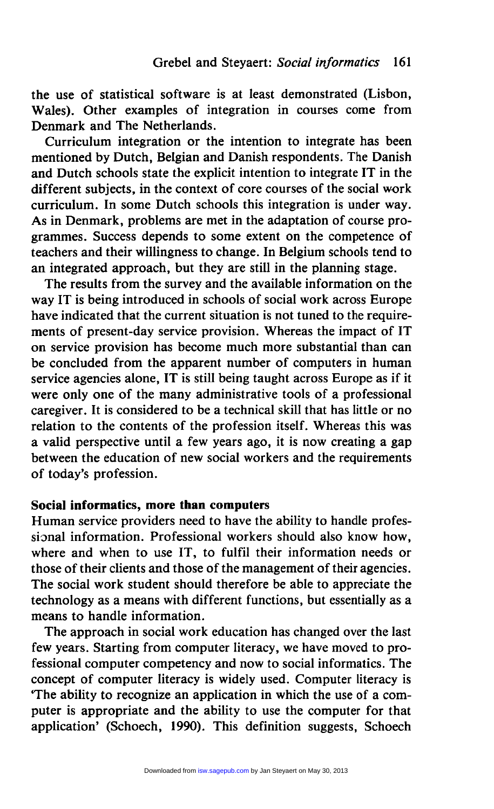the use of statistical software is at least demonstrated (Lisbon, Wales). Other examples of integration in courses come from Denmark and The Netherlands.

Curriculum integration or the intention to integrate has been mentioned by Dutch, Belgian and Danish respondents. The Danish and Dutch schools state the explicit intention to integrate IT in the different subjects, in the context of core courses of the social work curriculum. In some Dutch schools this integration is under way. As in Denmark, problems are met in the adaptation of course programmes. Success depends to some extent on the competence of teachers and their willingness to change. In Belgium schools tend to an integrated approach, but they are still in the planning stage.

The results from the survey and the available information on the way IT is being introduced in schools of social work across Europe have indicated that the current situation is not tuned to the requirements of present-day service provision. Whereas the impact of IT on service provision has become much more substantial than can be concluded from the apparent number of computers in human service agencies alone, IT is still being taught across Europe as if it were only one of the many administrative tools of a professional caregiver. It is considered to be a technical skill that has little or no relation to the contents of the profession itself. Whereas this was a valid perspective until a few years ago, it is now creating a gap between the education of new social workers and the requirements of today's profession.

#### Social informatics, more than computers

Human service providers need to have the ability to handle professional information. Professional workers should also know how, where and when to use IT, to fulfil their information needs or those of their clients and those of the management of their agencies. The social work student should therefore be able to appreciate the technology as a means with different functions, but essentially as a means to handle information.

The approach in social work education has changed over the last few years. Starting from computer literacy, we have moved to professional computer competency and now to social informatics. The concept of computer literacy is widely used. Computer literacy is 'The ability to recognize an application in which the use of a computer is appropriate and the ability to use the computer for that application' (Schoech, 1990). This definition suggests, Schoech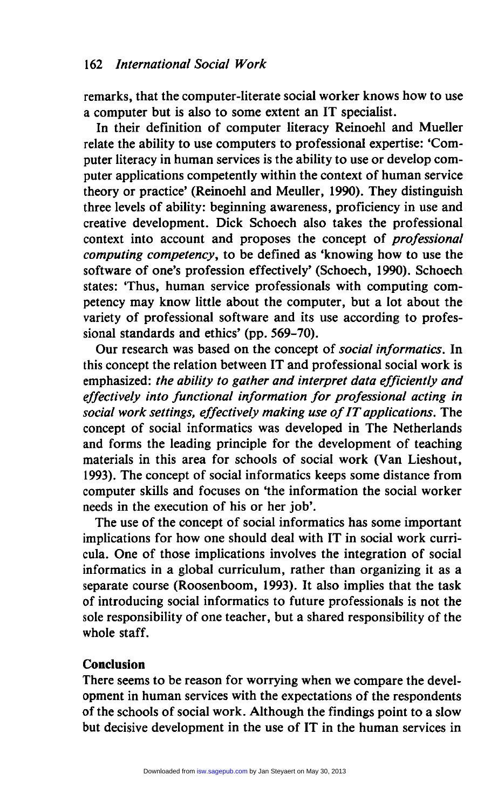remarks, that the computer-literate social worker knows how to use a computer but is also to some extent an IT specialist.

In their definition of computer literacy Reinoehl and Mueller relate the ability to use computers to professional expertise: 'Computer literacy in human services is the ability to use or develop computer applications competently within the context of human service theory or practice' (Reinoehl and Meuller, 1990). They distinguish three levels of ability: beginning awareness, proficiency in use and creative development. Dick Schoech also takes the professional context into account and proposes the concept of professional computing competency, to be defined as 'knowing how to use the software of one's profession effectively' (Schoech, 1990). Schoech states: 'Thus, human service professionals with computing competency may know little about the computer, but a lot about the variety of professional software and its use according to professional standards and ethics' (pp. 569-70).

Our research was based on the concept of social informatics. In this concept the relation between IT and professional social work is emphasized: the ability to gather and interpret data efficiently and effectively into functional information for professional acting in social work settings, effectively making use of IT applications. The concept of social informatics was developed in The Netherlands and forms the leading principle for the development of teaching materials in this area for schools of social work (Van Lieshout, 1993). The concept of social informatics keeps some distance from computer skills and focuses on 'the information the social worker needs in the execution of his or her job'.

The use of the concept of social informatics has some important implications for how one should deal with IT in social work curricula. One of those implications involves the integration of social informatics in a global curriculum, rather than organizing it as a separate course (Roosenboom, 1993). It also implies that the task of introducing social informatics to future professionals is not the sole responsibility of one teacher, but a shared responsibility of the whole staff.

#### Conclusion

There seems to be reason for worrying when we compare the development in human services with the expectations of the respondents of the schools of social work. Although the findings point to a slow but decisive development in the use of IT in the human services in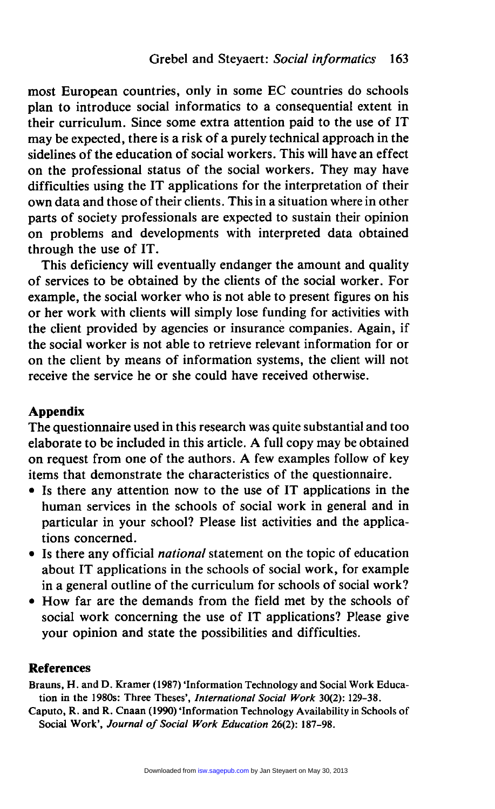most European countries, only in some EC countries do schools plan to introduce social informatics to a consequential extent in their curriculum. Since some extra attention paid to the use of IT may be expected, there is a risk of a purely technical approach in the sidelines of the education of social workers. This will have an effect on the professional status of the social workers. They may have difficulties using the IT applications for the interpretation of their own data and those of their clients. This in a situation where in other parts of society professionals are expected to sustain their opinion on problems and developments with interpreted data obtained through the use of IT.

This deficiency will eventually endanger the amount and quality of services to be obtained by the clients of the social worker. For example, the social worker who is not able to present figures on his or her work with clients will simply lose funding for activities with the client provided by agencies or insurance companies. Again, if the social worker is not able to retrieve relevant information for or on the client by means of information systems, the client will not receive the service he or she could have received otherwise.

# **Appendix**

The questionnaire used in this research was quite substantial and too elaborate to be included in this article. A full copy may be obtained on request from one of the authors. A few examples follow of key items that demonstrate the characteristics of the questionnaire.

- ~ Is there any attention now to the use of IT applications in the human services in the schools of social work in general and in particular in your school? Please list activities and the applications concerned.
- Is there any official *national* statement on the topic of education about IT applications in the schools of social work, for example in a general outline of the curriculum for schools of social work?
- ~ How far are the demands from the field met by the schools of social work concerning the use of IT applications? Please give your opinion and state the possibilities and difficulties.

## References

- Brauns, H. and D. Kramer (1987) 'Information Technology and Social Work Education in the 1980s: Three Theses', International Social Work 30(2): 129-38.
- Caputo, R. and R. Cnaan (1990) 'Information Technology Availability in Schools of Social Work', Journal of Social Work Education 26(2): 187-98.